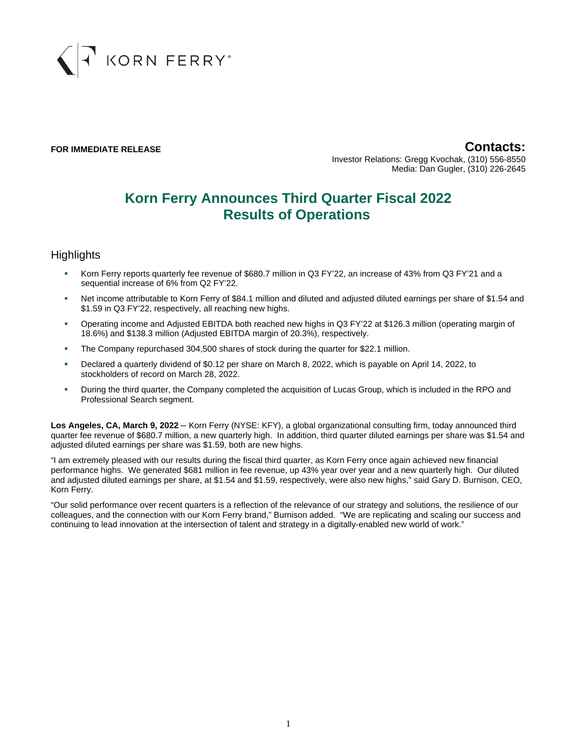

**FOR IMMEDIATE RELEASE Contacts:** Investor Relations: Gregg Kvochak, (310) 556-8550 Media: Dan Gugler, (310) 226-2645

# **Korn Ferry Announces Third Quarter Fiscal 2022 Results of Operations**

### **Highlights**

- Korn Ferry reports quarterly fee revenue of \$680.7 million in Q3 FY'22, an increase of 43% from Q3 FY'21 and a sequential increase of 6% from Q2 FY'22.
- Net income attributable to Korn Ferry of \$84.1 million and diluted and adjusted diluted earnings per share of \$1.54 and \$1.59 in Q3 FY'22, respectively, all reaching new highs.
- Operating income and Adjusted EBITDA both reached new highs in Q3 FY'22 at \$126.3 million (operating margin of 18.6%) and \$138.3 million (Adjusted EBITDA margin of 20.3%), respectively.
- The Company repurchased 304,500 shares of stock during the quarter for \$22.1 million.
- Declared a quarterly dividend of \$0.12 per share on March 8, 2022, which is payable on April 14, 2022, to stockholders of record on March 28, 2022.
- During the third quarter, the Company completed the acquisition of Lucas Group, which is included in the RPO and Professional Search segment.

**Los Angeles, CA, March 9, 2022** – Korn Ferry (NYSE: KFY), a global organizational consulting firm, today announced third quarter fee revenue of \$680.7 million, a new quarterly high. In addition, third quarter diluted earnings per share was \$1.54 and adjusted diluted earnings per share was \$1.59, both are new highs.

"I am extremely pleased with our results during the fiscal third quarter, as Korn Ferry once again achieved new financial performance highs. We generated \$681 million in fee revenue, up 43% year over year and a new quarterly high. Our diluted and adjusted diluted earnings per share, at \$1.54 and \$1.59, respectively, were also new highs," said Gary D. Burnison, CEO, Korn Ferry.

"Our solid performance over recent quarters is a reflection of the relevance of our strategy and solutions, the resilience of our colleagues, and the connection with our Korn Ferry brand," Burnison added. "We are replicating and scaling our success and continuing to lead innovation at the intersection of talent and strategy in a digitally-enabled new world of work."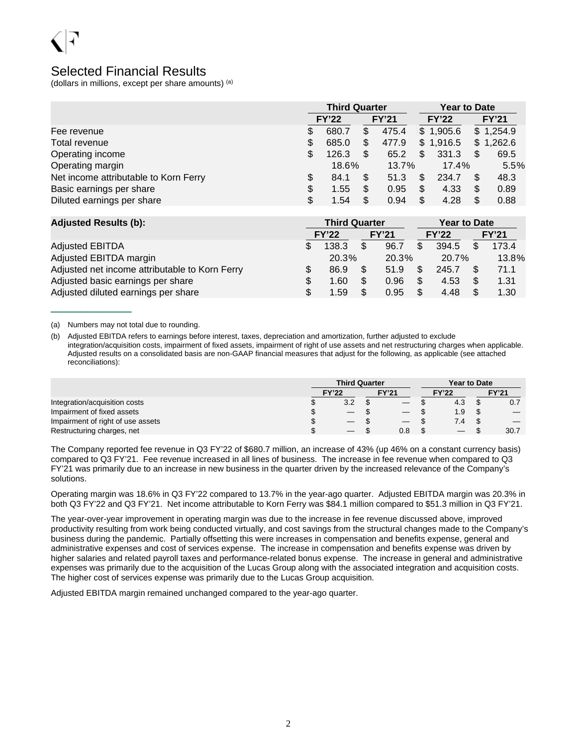

### Selected Financial Results

(dollars in millions, except per share amounts) (a)

|                                       |     | <b>Third Quarter</b> |     |              |    |              | <b>Year to Date</b> |           |  |  |
|---------------------------------------|-----|----------------------|-----|--------------|----|--------------|---------------------|-----------|--|--|
|                                       |     | <b>FY'22</b>         |     | <b>FY'21</b> |    | <b>FY'22</b> | <b>FY'21</b>        |           |  |  |
| Fee revenue                           | S   | 680.7                | \$  | 475.4        |    | \$1,905.6    |                     | \$1,254.9 |  |  |
| Total revenue                         | S   | 685.0                |     | 477.9        |    | \$1,916.5    |                     | \$1,262.6 |  |  |
| Operating income                      | \$  | 126.3                | \$. | 65.2         | \$ | 331.3        | S                   | 69.5      |  |  |
| Operating margin                      |     | 18.6%                |     | $13.7\%$     |    | 17.4%        | 5.5%                |           |  |  |
| Net income attributable to Korn Ferry | \$. | 84.1                 | S   | 51.3         | \$ | 234.7        | S                   | 48.3      |  |  |
| Basic earnings per share              | \$  | 1.55                 | S   | 0.95         | \$ | 4.33         |                     | 0.89      |  |  |
| Diluted earnings per share            | \$  | 1.54                 | S.  | 0.94         | \$ | 4.28         |                     | 0.88      |  |  |

| <b>Adjusted Results (b):</b>                   |    | <b>Third Quarter</b> |              |     | <b>Year to Date</b> |              |
|------------------------------------------------|----|----------------------|--------------|-----|---------------------|--------------|
|                                                |    | <b>FY'22</b>         | <b>FY'21</b> |     | <b>FY'22</b>        | <b>FY'21</b> |
| <b>Adjusted EBITDA</b>                         | S  | 138.3                | 96.7         | \$  | 394.5               | 173.4        |
| Adjusted EBITDA margin                         |    | 20.3%                | 20.3%        |     | 20.7%               | 13.8%        |
| Adjusted net income attributable to Korn Ferry | \$ | 86.9                 | 51.9         |     | 245.7               | 71.1         |
| Adjusted basic earnings per share              | \$ | 1.60                 | 0.96         | \$. | 4.53                | 1.31         |
| Adjusted diluted earnings per share            | \$ | 1.59                 | 0.95         | \$  | 4.48                | 1.30         |

(a) Numbers may not total due to rounding.

\_\_\_\_\_\_\_\_\_\_\_

(b) Adjusted EBITDA refers to earnings before interest, taxes, depreciation and amortization, further adjusted to exclude integration/acquisition costs, impairment of fixed assets, impairment of right of use assets and net restructuring charges when applicable. Adjusted results on a consolidated basis are non-GAAP financial measures that adjust for the following, as applicable (see attached reconciliations):

|                                   | <b>Third Quarter</b>     |  |                                 |  |              | <b>Year to Date</b> |              |  |  |
|-----------------------------------|--------------------------|--|---------------------------------|--|--------------|---------------------|--------------|--|--|
|                                   | <b>FY'22</b>             |  | <b>FY'21</b>                    |  | <b>FY'22</b> |                     | <b>FY'21</b> |  |  |
| Integration/acquisition costs     | 3.2                      |  |                                 |  | 4.3          |                     | 0.7          |  |  |
| Impairment of fixed assets        | $\overline{\phantom{0}}$ |  | $\hspace{0.1mm}-\hspace{0.1mm}$ |  | 1.9          |                     |              |  |  |
| Impairment of right of use assets |                          |  | $\overline{\phantom{m}}$        |  | 7.4          |                     |              |  |  |
| Restructuring charges, net        |                          |  | 0.8                             |  |              |                     | 30.7         |  |  |

The Company reported fee revenue in Q3 FY'22 of \$680.7 million, an increase of 43% (up 46% on a constant currency basis) compared to Q3 FY'21. Fee revenue increased in all lines of business. The increase in fee revenue when compared to Q3 FY'21 was primarily due to an increase in new business in the quarter driven by the increased relevance of the Company's solutions.

Operating margin was 18.6% in Q3 FY'22 compared to 13.7% in the year-ago quarter. Adjusted EBITDA margin was 20.3% in both Q3 FY'22 and Q3 FY'21. Net income attributable to Korn Ferry was \$84.1 million compared to \$51.3 million in Q3 FY'21.

The year-over-year improvement in operating margin was due to the increase in fee revenue discussed above, improved productivity resulting from work being conducted virtually, and cost savings from the structural changes made to the Company's business during the pandemic. Partially offsetting this were increases in compensation and benefits expense, general and administrative expenses and cost of services expense. The increase in compensation and benefits expense was driven by higher salaries and related payroll taxes and performance-related bonus expense. The increase in general and administrative expenses was primarily due to the acquisition of the Lucas Group along with the associated integration and acquisition costs. The higher cost of services expense was primarily due to the Lucas Group acquisition.

Adjusted EBITDA margin remained unchanged compared to the year-ago quarter.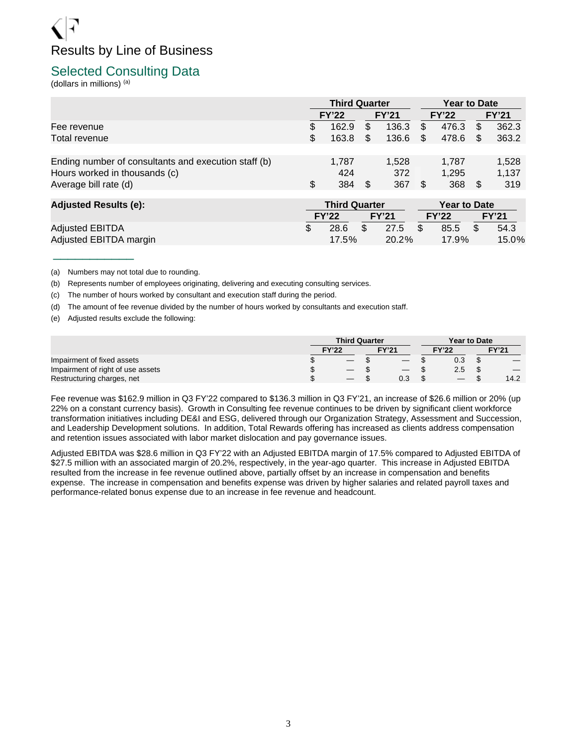# Results by Line of Business

### Selected Consulting Data

(dollars in millions) (a)

|                                                                                                                | <b>Third Quarter</b> |                     |    |                     |     | <b>Year to Date</b>   |     |                       |  |
|----------------------------------------------------------------------------------------------------------------|----------------------|---------------------|----|---------------------|-----|-----------------------|-----|-----------------------|--|
|                                                                                                                |                      | <b>FY'22</b>        |    | <b>FY'21</b>        |     | <b>FY'22</b>          |     | <b>FY'21</b>          |  |
| Fee revenue                                                                                                    | S                    | 162.9               | \$ | 136.3               | \$. | 476.3                 | \$. | 362.3                 |  |
| Total revenue                                                                                                  | S                    | 163.8               | \$ | 136.6               | \$. | 478.6                 | \$. | 363.2                 |  |
| Ending number of consultants and execution staff (b)<br>Hours worked in thousands (c)<br>Average bill rate (d) | S                    | 1.787<br>424<br>384 | \$ | 1.528<br>372<br>367 |     | 1.787<br>1.295<br>368 | S   | 1,528<br>1,137<br>319 |  |

| <b>Adjusted Results (e):</b> | <b>Third Quarter</b> |     |       |     | <b>Year to Date</b> |       |
|------------------------------|----------------------|-----|-------|-----|---------------------|-------|
|                              | <b>FY'22</b>         |     | FY'21 |     | <b>FY'22</b>        | FY'21 |
| <b>Adjusted EBITDA</b>       | 28.6                 | \$. | 27.5  | - S | 85.5                | 54.3  |
| Adjusted EBITDA margin       | 17.5%                |     | 20.2% |     | $17.9\%$            | 15.0% |

(a) Numbers may not total due to rounding.

\_\_\_\_\_\_\_\_\_\_\_

(b) Represents number of employees originating, delivering and executing consulting services.

(c) The number of hours worked by consultant and execution staff during the period.

(d) The amount of fee revenue divided by the number of hours worked by consultants and execution staff.

(e) Adjusted results exclude the following:

|                                   | <b>Third Quarter</b>                      |  |                                 |  |              | Year to Date |              |  |  |  |
|-----------------------------------|-------------------------------------------|--|---------------------------------|--|--------------|--------------|--------------|--|--|--|
|                                   | <b>FY'22</b>                              |  | <b>FY'21</b>                    |  | <b>FY'22</b> |              | <b>FY'21</b> |  |  |  |
| Impairment of fixed assets        | $\overline{\phantom{0}}$                  |  |                                 |  | 0.3          | ◡            |              |  |  |  |
| Impairment of right of use assets | $\qquad \qquad \overline{\qquad \qquad }$ |  | $\hspace{0.1mm}-\hspace{0.1mm}$ |  | 2.5          | \$.          |              |  |  |  |
| Restructuring charges, net        | $\overline{\phantom{0}}$                  |  | 0.3                             |  |              |              | 14.2         |  |  |  |

Fee revenue was \$162.9 million in Q3 FY'22 compared to \$136.3 million in Q3 FY'21, an increase of \$26.6 million or 20% (up 22% on a constant currency basis). Growth in Consulting fee revenue continues to be driven by significant client workforce transformation initiatives including DE&I and ESG, delivered through our Organization Strategy, Assessment and Succession, and Leadership Development solutions. In addition, Total Rewards offering has increased as clients address compensation and retention issues associated with labor market dislocation and pay governance issues.

Adjusted EBITDA was \$28.6 million in Q3 FY'22 with an Adjusted EBITDA margin of 17.5% compared to Adjusted EBITDA of \$27.5 million with an associated margin of 20.2%, respectively, in the year-ago quarter. This increase in Adjusted EBITDA resulted from the increase in fee revenue outlined above, partially offset by an increase in compensation and benefits expense. The increase in compensation and benefits expense was driven by higher salaries and related payroll taxes and performance-related bonus expense due to an increase in fee revenue and headcount.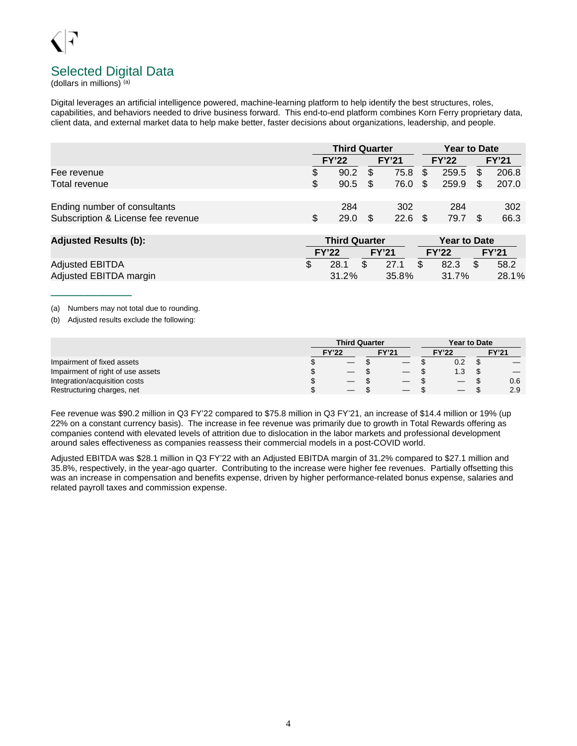# Selected Digital Data

(dollars in millions) (a)

Digital leverages an artificial intelligence powered, machine-learning platform to help identify the best structures, roles, capabilities, and behaviors needed to drive business forward. This end-to-end platform combines Korn Ferry proprietary data, client data, and external market data to help make better, faster decisions about organizations, leadership, and people.

|                                                                    |   | <b>Third Quarter</b> |      |              |     |              | <b>Year to Date</b> |              |  |  |
|--------------------------------------------------------------------|---|----------------------|------|--------------|-----|--------------|---------------------|--------------|--|--|
|                                                                    |   | <b>FY'22</b>         |      | <b>FY'21</b> |     | <b>FY'22</b> |                     | <b>FY'21</b> |  |  |
| Fee revenue                                                        |   | 90.2                 | S    | 75.8         | \$. | 259.5        | - SS                | 206.8        |  |  |
| Total revenue                                                      |   | 90.5                 | - SS | 76.0 \$      |     | 259.9        | - SS                | 207.0        |  |  |
| Ending number of consultants<br>Subscription & License fee revenue | S | 284<br>29.0          |      | 302<br>22.6  |     | 284<br>79.7  |                     | 302<br>66.3  |  |  |

| <b>Adjusted Results (b):</b> |  | <b>Third Quarter</b> |                |              | <b>Year to Date</b> |              |  |              |  |  |
|------------------------------|--|----------------------|----------------|--------------|---------------------|--------------|--|--------------|--|--|
|                              |  | <b>FY'22</b>         |                | <b>FY'21</b> |                     | <b>FY'22</b> |  | <b>FY'21</b> |  |  |
| <b>Adjusted EBITDA</b>       |  | 28.1                 | $\mathfrak{L}$ | 27.1         | <b>S</b>            | 82.3         |  | 58.2         |  |  |
| Adjusted EBITDA margin       |  | $31.2\%$             |                | 35.8%        |                     | 31.7%        |  | 28.1%        |  |  |

(a) Numbers may not total due to rounding.

\_\_\_\_\_\_\_\_\_\_\_

(b) Adjusted results exclude the following:

|                                   | <b>Third Quarter</b> |  |                   |  |              | <b>Year to Date</b> |              |  |  |
|-----------------------------------|----------------------|--|-------------------|--|--------------|---------------------|--------------|--|--|
|                                   | <b>FY'22</b>         |  | <b>FY'21</b>      |  | <b>FY'22</b> |                     | <b>FY'21</b> |  |  |
| Impairment of fixed assets        |                      |  |                   |  | 0.2          |                     |              |  |  |
| Impairment of right of use assets |                      |  |                   |  | 1.3          |                     |              |  |  |
| Integration/acquisition costs     | $\qquad \qquad -$    |  | $\hspace{0.05cm}$ |  |              |                     | 0.6          |  |  |
| Restructuring charges, net        |                      |  |                   |  |              |                     | 2.9          |  |  |

Fee revenue was \$90.2 million in Q3 FY'22 compared to \$75.8 million in Q3 FY'21, an increase of \$14.4 million or 19% (up 22% on a constant currency basis). The increase in fee revenue was primarily due to growth in Total Rewards offering as companies contend with elevated levels of attrition due to dislocation in the labor markets and professional development around sales effectiveness as companies reassess their commercial models in a post-COVID world.

Adjusted EBITDA was \$28.1 million in Q3 FY'22 with an Adjusted EBITDA margin of 31.2% compared to \$27.1 million and 35.8%, respectively, in the year-ago quarter. Contributing to the increase were higher fee revenues. Partially offsetting this was an increase in compensation and benefits expense, driven by higher performance-related bonus expense, salaries and related payroll taxes and commission expense.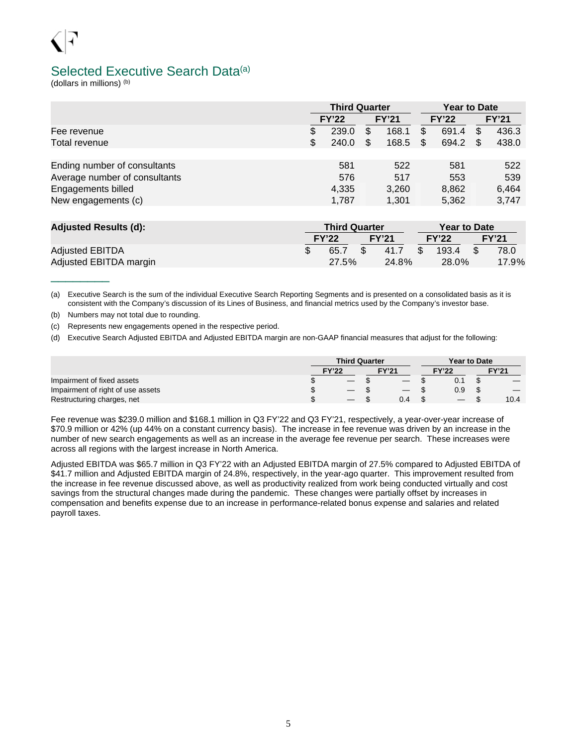# Selected Executive Search Data<sup>(a)</sup>

(dollars in millions) (b)

\_\_\_\_\_\_\_\_

|                               |                              | <b>Third Quarter</b> |    |              | <b>Year to Date</b> |       |              |       |
|-------------------------------|------------------------------|----------------------|----|--------------|---------------------|-------|--------------|-------|
|                               | <b>FY'21</b><br><b>FY'22</b> |                      |    | <b>FY'22</b> |                     |       | <b>FY'21</b> |       |
| Fee revenue                   | \$                           | 239.0                | S  | 168.1        | S                   | 691.4 | \$           | 436.3 |
| Total revenue                 | \$                           | 240.0                | \$ | 168.5        | \$.                 | 694.2 | S            | 438.0 |
|                               |                              |                      |    |              |                     |       |              |       |
| Ending number of consultants  |                              | 581                  |    | 522          |                     | 581   |              | 522   |
| Average number of consultants |                              | 576                  |    | 517          |                     | 553   |              | 539   |
| Engagements billed            |                              | 4,335                |    | 3.260        |                     | 8,862 |              | 6,464 |
| New engagements (c)           |                              | 1,787                |    | 1,301        |                     | 5,362 |              | 3,747 |

| <b>Adjusted Results (d):</b> |  | <b>Third Quarter</b> |    |              |      | <b>Year to Date</b> |  |              |  |  |  |  |
|------------------------------|--|----------------------|----|--------------|------|---------------------|--|--------------|--|--|--|--|
|                              |  | <b>FY'22</b>         |    | <b>FY'21</b> |      | <b>FY'22</b>        |  | <b>FY'21</b> |  |  |  |  |
| <b>Adjusted EBITDA</b>       |  | 65.7                 | S. | 41.7         | - SS | 193.4               |  | 78.0         |  |  |  |  |
| Adjusted EBITDA margin       |  | 27.5%                |    | 24.8%        |      | 28.0%               |  | 17.9%        |  |  |  |  |

(a) Executive Search is the sum of the individual Executive Search Reporting Segments and is presented on a consolidated basis as it is consistent with the Company's discussion of its Lines of Business, and financial metrics used by the Company's investor base.

(b) Numbers may not total due to rounding.

(c) Represents new engagements opened in the respective period.

(d) Executive Search Adjusted EBITDA and Adjusted EBITDA margin are non-GAAP financial measures that adjust for the following:

|                                   | <b>Third Quarter</b>     |  |                   | Year to Date             |   |              |  |  |
|-----------------------------------|--------------------------|--|-------------------|--------------------------|---|--------------|--|--|
|                                   | FY'22                    |  | <b>FY'21</b>      | <b>FY'22</b>             |   | <b>FY'21</b> |  |  |
| Impairment of fixed assets        | —                        |  |                   |                          | ง |              |  |  |
| Impairment of right of use assets | $\overline{\phantom{0}}$ |  | $\hspace{0.05cm}$ | 0.9                      | S |              |  |  |
| Restructuring charges, net        | $\overline{\phantom{m}}$ |  | 0.4               | $\overline{\phantom{0}}$ |   | 10.4         |  |  |

Fee revenue was \$239.0 million and \$168.1 million in Q3 FY'22 and Q3 FY'21, respectively, a year-over-year increase of \$70.9 million or 42% (up 44% on a constant currency basis). The increase in fee revenue was driven by an increase in the number of new search engagements as well as an increase in the average fee revenue per search. These increases were across all regions with the largest increase in North America.

Adjusted EBITDA was \$65.7 million in Q3 FY'22 with an Adjusted EBITDA margin of 27.5% compared to Adjusted EBITDA of \$41.7 million and Adjusted EBITDA margin of 24.8%, respectively, in the year-ago quarter. This improvement resulted from the increase in fee revenue discussed above, as well as productivity realized from work being conducted virtually and cost savings from the structural changes made during the pandemic. These changes were partially offset by increases in compensation and benefits expense due to an increase in performance-related bonus expense and salaries and related payroll taxes.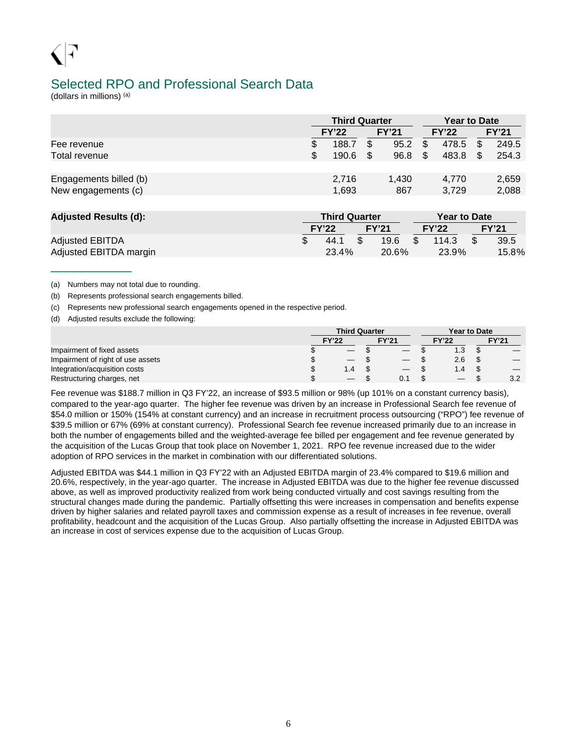### Selected RPO and Professional Search Data

(dollars in millions) (a)

\_\_\_\_\_\_\_\_\_\_\_

|                        |   | <b>Third Quarter</b> |     |              |   | <b>Year to Date</b> |              |
|------------------------|---|----------------------|-----|--------------|---|---------------------|--------------|
|                        |   | <b>FY'22</b>         |     | <b>FY'21</b> |   | <b>FY'22</b>        | <b>FY'21</b> |
| Fee revenue            |   | 188.7                | \$. | 95.2         | S | 478.5               | 249.5        |
| Total revenue          | S | 190.6                | \$. | 96.8         |   | 483.8               | 254.3        |
|                        |   |                      |     |              |   |                     |              |
| Engagements billed (b) |   | 2.716                |     | 1.430        |   | 4,770               | 2,659        |
| New engagements (c)    |   | 1,693                |     | 867          |   | 3,729               | 2,088        |

| <b>Adjusted Results (d):</b> | <b>Third Quarter</b> |       | <b>Year to Date</b> |  |              |  |  |  |
|------------------------------|----------------------|-------|---------------------|--|--------------|--|--|--|
|                              | <b>FY'22</b>         | FY'21 | <b>FY'22</b>        |  | <b>FY'21</b> |  |  |  |
| <b>Adjusted EBITDA</b>       | 44.1                 | 19.6  | 114.3               |  | 39.5         |  |  |  |
| Adjusted EBITDA margin       | 23.4%                | 20.6% | 23.9%               |  | 15.8%        |  |  |  |

(a) Numbers may not total due to rounding.

(b) Represents professional search engagements billed.

(c) Represents new professional search engagements opened in the respective period.

(d) Adjusted results exclude the following:

|                                   | <b>Third Quarter</b>     |                                 |              | <b>Year to Date</b> |              |  |
|-----------------------------------|--------------------------|---------------------------------|--------------|---------------------|--------------|--|
|                                   | <b>FY'22</b>             | <b>FY'21</b>                    | <b>FY'22</b> |                     | <b>FY'21</b> |  |
| Impairment of fixed assets        | $\overline{\phantom{0}}$ |                                 | 1.3          |                     |              |  |
| Impairment of right of use assets | $\overline{\phantom{0}}$ | $\hspace{0.1mm}-\hspace{0.1mm}$ | 2.6          | ъĐ                  |              |  |
| Integration/acquisition costs     | $1.4^{\circ}$            | $\hspace{0.1mm}-\hspace{0.1mm}$ | 1.4          |                     |              |  |
| Restructuring charges, net        | $-$                      | 0.1                             |              |                     | 3.2          |  |

Fee revenue was \$188.7 million in Q3 FY'22, an increase of \$93.5 million or 98% (up 101% on a constant currency basis), compared to the year-ago quarter. The higher fee revenue was driven by an increase in Professional Search fee revenue of \$54.0 million or 150% (154% at constant currency) and an increase in recruitment process outsourcing ("RPO") fee revenue of \$39.5 million or 67% (69% at constant currency). Professional Search fee revenue increased primarily due to an increase in both the number of engagements billed and the weighted-average fee billed per engagement and fee revenue generated by the acquisition of the Lucas Group that took place on November 1, 2021. RPO fee revenue increased due to the wider adoption of RPO services in the market in combination with our differentiated solutions.

Adjusted EBITDA was \$44.1 million in Q3 FY'22 with an Adjusted EBITDA margin of 23.4% compared to \$19.6 million and 20.6%, respectively, in the year-ago quarter. The increase in Adjusted EBITDA was due to the higher fee revenue discussed above, as well as improved productivity realized from work being conducted virtually and cost savings resulting from the structural changes made during the pandemic. Partially offsetting this were increases in compensation and benefits expense driven by higher salaries and related payroll taxes and commission expense as a result of increases in fee revenue, overall profitability, headcount and the acquisition of the Lucas Group. Also partially offsetting the increase in Adjusted EBITDA was an increase in cost of services expense due to the acquisition of Lucas Group.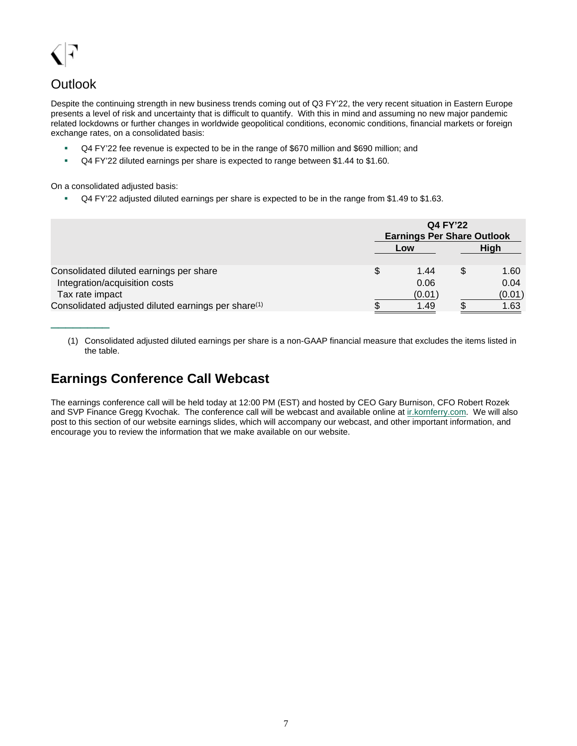# **Outlook**

\_\_\_\_\_\_\_\_

Despite the continuing strength in new business trends coming out of Q3 FY'22, the very recent situation in Eastern Europe presents a level of risk and uncertainty that is difficult to quantify. With this in mind and assuming no new major pandemic related lockdowns or further changes in worldwide geopolitical conditions, economic conditions, financial markets or foreign exchange rates, on a consolidated basis:

- Q4 FY'22 fee revenue is expected to be in the range of \$670 million and \$690 million; and
- Q4 FY'22 diluted earnings per share is expected to range between \$1.44 to \$1.60.

On a consolidated adjusted basis:

Q4 FY'22 adjusted diluted earnings per share is expected to be in the range from \$1.49 to \$1.63.

|                                                                 | <b>Q4 FY'22</b>                   |  |             |  |  |  |  |  |  |  |  |
|-----------------------------------------------------------------|-----------------------------------|--|-------------|--|--|--|--|--|--|--|--|
|                                                                 | <b>Earnings Per Share Outlook</b> |  |             |  |  |  |  |  |  |  |  |
|                                                                 | Low                               |  | <b>High</b> |  |  |  |  |  |  |  |  |
| Consolidated diluted earnings per share                         | \$<br>1.44                        |  | 1.60        |  |  |  |  |  |  |  |  |
| Integration/acquisition costs                                   | 0.06                              |  | 0.04        |  |  |  |  |  |  |  |  |
| Tax rate impact                                                 | (0.01)                            |  | (0.01)      |  |  |  |  |  |  |  |  |
| Consolidated adjusted diluted earnings per share <sup>(1)</sup> | 1.49                              |  | 1.63        |  |  |  |  |  |  |  |  |

(1) Consolidated adjusted diluted earnings per share is a non-GAAP financial measure that excludes the items listed in the table.

# **Earnings Conference Call Webcast**

The earnings conference call will be held today at 12:00 PM (EST) and hosted by CEO Gary Burnison, CFO Robert Rozek and SVP Finance Gregg Kvochak. The conference call will be webcast and available online at [ir.kornferry.com.](https://ir.kornferry.com/) We will also post to this section of our website earnings slides, which will accompany our webcast, and other important information, and encourage you to review the information that we make available on our website.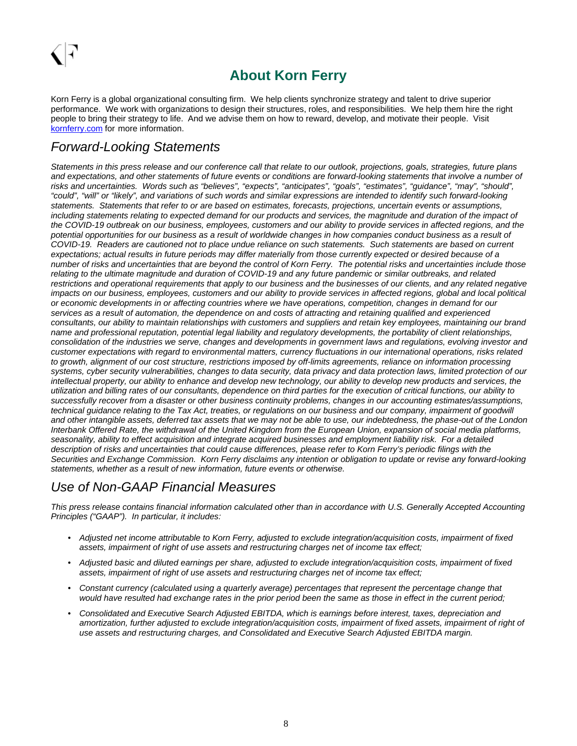# **About Korn Ferry**

Korn Ferry is a global organizational consulting firm. We help clients synchronize strategy and talent to drive superior performance. We work with organizations to design their structures, roles, and responsibilities. We help them hire the right people to bring their strategy to life. And we advise them on how to reward, develop, and motivate their people. Visit [kornferry.com](http://www.kornferry.com/) for more information.

## Forward-Looking Statements

Statements in this press release and our conference call that relate to our outlook, projections, goals, strategies, future plans and expectations, and other statements of future events or conditions are forward-looking statements that involve a number of risks and uncertainties. Words such as "believes", "expects", "anticipates", "goals", "estimates", "guidance", "may", "should", "could", "will" or "likely", and variations of such words and similar expressions are intended to identify such forward-looking statements. Statements that refer to or are based on estimates, forecasts, projections, uncertain events or assumptions, including statements relating to expected demand for our products and services, the magnitude and duration of the impact of the COVID-19 outbreak on our business, employees, customers and our ability to provide services in affected regions, and the potential opportunities for our business as a result of worldwide changes in how companies conduct business as a result of COVID-19. Readers are cautioned not to place undue reliance on such statements. Such statements are based on current expectations; actual results in future periods may differ materially from those currently expected or desired because of a number of risks and uncertainties that are beyond the control of Korn Ferry. The potential risks and uncertainties include those relating to the ultimate magnitude and duration of COVID-19 and any future pandemic or similar outbreaks, and related restrictions and operational requirements that apply to our business and the businesses of our clients, and any related negative impacts on our business, employees, customers and our ability to provide services in affected regions, global and local political or economic developments in or affecting countries where we have operations, competition, changes in demand for our services as a result of automation, the dependence on and costs of attracting and retaining qualified and experienced consultants, our ability to maintain relationships with customers and suppliers and retain key employees, maintaining our brand name and professional reputation, potential legal liability and regulatory developments, the portability of client relationships, consolidation of the industries we serve, changes and developments in government laws and regulations, evolving investor and customer expectations with regard to environmental matters, currency fluctuations in our international operations, risks related to growth, alignment of our cost structure, restrictions imposed by off-limits agreements, reliance on information processing systems, cyber security vulnerabilities, changes to data security, data privacy and data protection laws, limited protection of our intellectual property, our ability to enhance and develop new technology, our ability to develop new products and services, the utilization and billing rates of our consultants, dependence on third parties for the execution of critical functions, our ability to successfully recover from a disaster or other business continuity problems, changes in our accounting estimates/assumptions, technical guidance relating to the Tax Act, treaties, or regulations on our business and our company, impairment of goodwill and other intangible assets, deferred tax assets that we may not be able to use, our indebtedness, the phase-out of the London Interbank Offered Rate, the withdrawal of the United Kingdom from the European Union, expansion of social media platforms, seasonality, ability to effect acquisition and integrate acquired businesses and employment liability risk. For a detailed description of risks and uncertainties that could cause differences, please refer to Korn Ferry's periodic filings with the Securities and Exchange Commission. Korn Ferry disclaims any intention or obligation to update or revise any forward-looking statements, whether as a result of new information, future events or otherwise.

## Use of Non-GAAP Financial Measures

This press release contains financial information calculated other than in accordance with U.S. Generally Accepted Accounting Principles ("GAAP"). In particular, it includes:

- Adjusted net income attributable to Korn Ferry, adjusted to exclude integration/acquisition costs, impairment of fixed assets, impairment of right of use assets and restructuring charges net of income tax effect;
- Adjusted basic and diluted earnings per share, adjusted to exclude integration/acquisition costs, impairment of fixed assets, impairment of right of use assets and restructuring charges net of income tax effect;
- Constant currency (calculated using a quarterly average) percentages that represent the percentage change that would have resulted had exchange rates in the prior period been the same as those in effect in the current period;
- Consolidated and Executive Search Adjusted EBITDA, which is earnings before interest, taxes, depreciation and amortization, further adjusted to exclude integration/acquisition costs, impairment of fixed assets, impairment of right of use assets and restructuring charges, and Consolidated and Executive Search Adjusted EBITDA margin.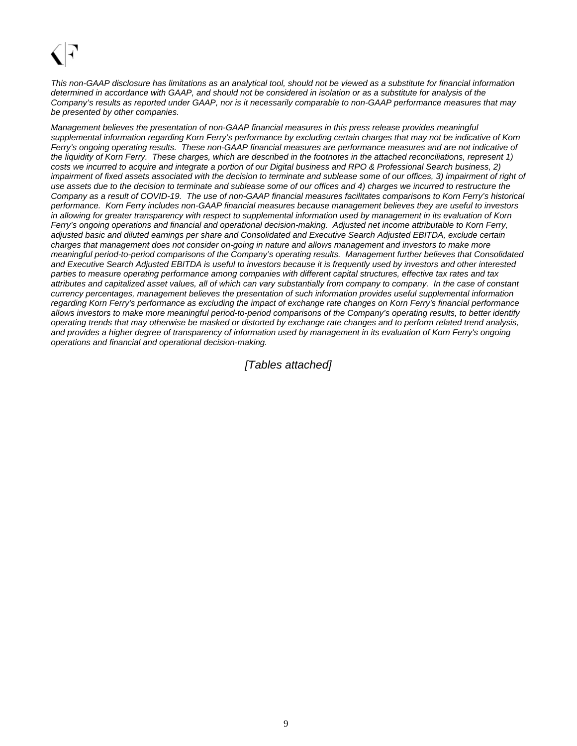This non-GAAP disclosure has limitations as an analytical tool, should not be viewed as a substitute for financial information determined in accordance with GAAP, and should not be considered in isolation or as a substitute for analysis of the Company's results as reported under GAAP, nor is it necessarily comparable to non-GAAP performance measures that may be presented by other companies.

Management believes the presentation of non-GAAP financial measures in this press release provides meaningful supplemental information regarding Korn Ferry's performance by excluding certain charges that may not be indicative of Korn Ferry's ongoing operating results. These non-GAAP financial measures are performance measures and are not indicative of the liquidity of Korn Ferry. These charges, which are described in the footnotes in the attached reconciliations, represent 1) costs we incurred to acquire and integrate a portion of our Digital business and RPO & Professional Search business, 2) impairment of fixed assets associated with the decision to terminate and sublease some of our offices, 3) impairment of right of use assets due to the decision to terminate and sublease some of our offices and 4) charges we incurred to restructure the Company as a result of COVID-19. The use of non-GAAP financial measures facilitates comparisons to Korn Ferry's historical performance. Korn Ferry includes non-GAAP financial measures because management believes they are useful to investors in allowing for greater transparency with respect to supplemental information used by management in its evaluation of Korn Ferry's ongoing operations and financial and operational decision-making. Adjusted net income attributable to Korn Ferry, adjusted basic and diluted earnings per share and Consolidated and Executive Search Adjusted EBITDA, exclude certain charges that management does not consider on-going in nature and allows management and investors to make more meaningful period-to-period comparisons of the Company's operating results. Management further believes that Consolidated and Executive Search Adjusted EBITDA is useful to investors because it is frequently used by investors and other interested parties to measure operating performance among companies with different capital structures, effective tax rates and tax attributes and capitalized asset values, all of which can vary substantially from company to company. In the case of constant currency percentages, management believes the presentation of such information provides useful supplemental information regarding Korn Ferry's performance as excluding the impact of exchange rate changes on Korn Ferry's financial performance allows investors to make more meaningful period-to-period comparisons of the Company's operating results, to better identify operating trends that may otherwise be masked or distorted by exchange rate changes and to perform related trend analysis, and provides a higher degree of transparency of information used by management in its evaluation of Korn Ferry's ongoing operations and financial and operational decision-making.

### [Tables attached]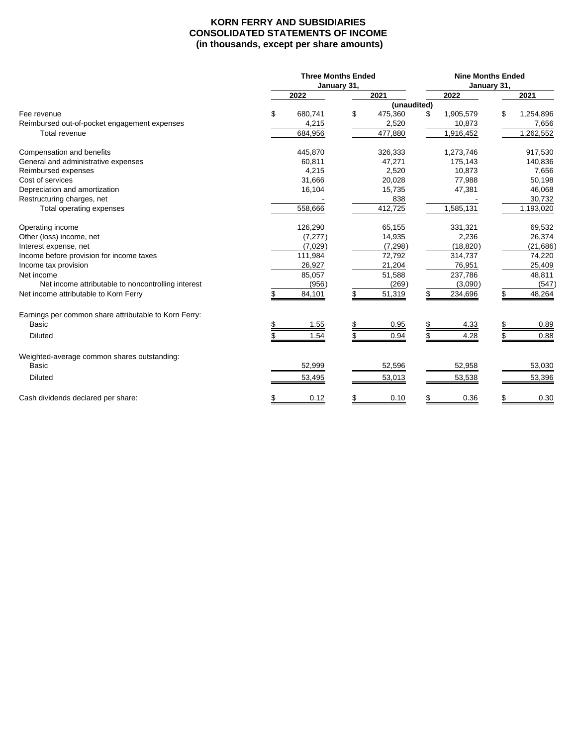### **KORN FERRY AND SUBSIDIARIES CONSOLIDATED STATEMENTS OF INCOME (in thousands, except per share amounts)**

|                                                       | <b>Three Months Ended</b> |             |             |     | <b>Nine Months Ended</b> |             |           |
|-------------------------------------------------------|---------------------------|-------------|-------------|-----|--------------------------|-------------|-----------|
|                                                       | 2022                      | January 31, | 2021        |     | 2022                     | January 31, | 2021      |
|                                                       |                           |             | (unaudited) |     |                          |             |           |
| Fee revenue                                           | \$<br>680,741             | \$          | 475,360     | \$. | 1,905,579                | \$          | 1,254,896 |
| Reimbursed out-of-pocket engagement expenses          | 4,215                     |             | 2,520       |     | 10,873                   |             | 7,656     |
| Total revenue                                         | 684,956                   |             | 477,880     |     | 1,916,452                |             | 1,262,552 |
| Compensation and benefits                             | 445,870                   |             | 326,333     |     | 1,273,746                |             | 917,530   |
| General and administrative expenses                   | 60,811                    |             | 47,271      |     | 175,143                  |             | 140,836   |
| Reimbursed expenses                                   | 4,215                     |             | 2,520       |     | 10,873                   |             | 7,656     |
| Cost of services                                      | 31,666                    |             | 20,028      |     | 77,988                   |             | 50,198    |
| Depreciation and amortization                         | 16,104                    |             | 15,735      |     | 47,381                   |             | 46,068    |
| Restructuring charges, net                            |                           |             | 838         |     |                          |             | 30,732    |
| Total operating expenses                              | 558,666                   |             | 412,725     |     | 1,585,131                |             | 1,193,020 |
| Operating income                                      | 126,290                   |             | 65,155      |     | 331,321                  |             | 69,532    |
| Other (loss) income, net                              | (7, 277)                  |             | 14,935      |     | 2,236                    |             | 26,374    |
| Interest expense, net                                 | (7,029)                   |             | (7, 298)    |     | (18, 820)                |             | (21, 686) |
| Income before provision for income taxes              | 111,984                   |             | 72,792      |     | 314,737                  |             | 74,220    |
| Income tax provision                                  | 26,927                    |             | 21,204      |     | 76,951                   |             | 25,409    |
| Net income                                            | 85,057                    |             | 51,588      |     | 237,786                  |             | 48,811    |
| Net income attributable to noncontrolling interest    | (956)                     |             | (269)       |     | (3,090)                  |             | (547)     |
| Net income attributable to Korn Ferry                 | 84,101                    |             | 51,319      |     | 234,696                  |             | 48,264    |
| Earnings per common share attributable to Korn Ferry: |                           |             |             |     |                          |             |           |
| <b>Basic</b>                                          | 1.55                      |             | 0.95        |     | 4.33                     | \$          | 0.89      |
| Diluted                                               | 1.54                      |             | 0.94        |     | 4.28                     |             | 0.88      |
| Weighted-average common shares outstanding:           |                           |             |             |     |                          |             |           |
| <b>Basic</b>                                          | 52,999                    |             | 52,596      |     | 52,958                   |             | 53,030    |
| <b>Diluted</b>                                        | 53,495                    |             | 53,013      |     | 53,538                   |             | 53,396    |
| Cash dividends declared per share:                    | 0.12                      |             | 0.10        |     | 0.36                     |             | 0.30      |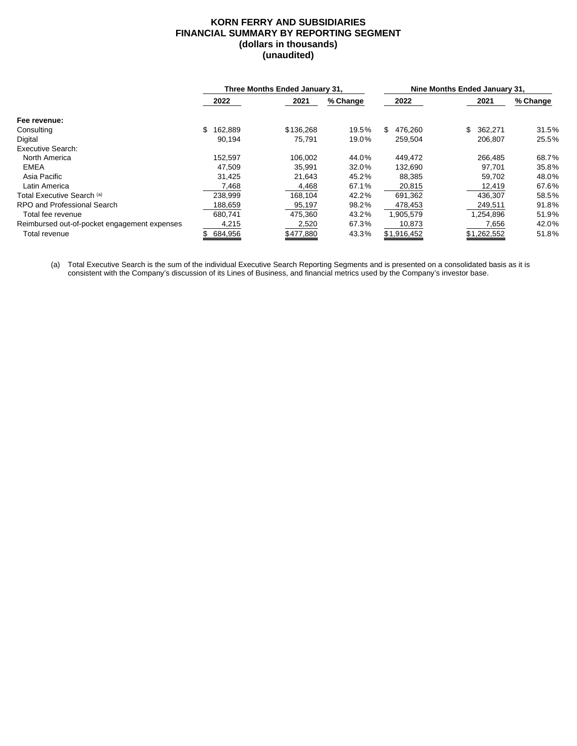### **KORN FERRY AND SUBSIDIARIES FINANCIAL SUMMARY BY REPORTING SEGMENT (dollars in thousands) (unaudited)**

|                                              |         | Three Months Ended January 31. |          | Nine Months Ended January 31. |               |          |
|----------------------------------------------|---------|--------------------------------|----------|-------------------------------|---------------|----------|
|                                              | 2022    | 2021                           | % Change | 2022                          | 2021          | % Change |
| Fee revenue:                                 |         |                                |          |                               |               |          |
| Consulting                                   | 162,889 | \$136,268                      | 19.5%    | 476.260<br>S.                 | \$<br>362.271 | 31.5%    |
| Digital                                      | 90,194  | 75.791                         | 19.0%    | 259,504                       | 206,807       | 25.5%    |
| Executive Search:                            |         |                                |          |                               |               |          |
| North America                                | 152.597 | 106,002                        | 44.0%    | 449,472                       | 266,485       | 68.7%    |
| <b>EMEA</b>                                  | 47,509  | 35,991                         | 32.0%    | 132,690                       | 97,701        | 35.8%    |
| Asia Pacific                                 | 31,425  | 21.643                         | 45.2%    | 88,385                        | 59,702        | 48.0%    |
| Latin America                                | 7,468   | 4,468                          | 67.1%    | 20,815                        | 12,419        | 67.6%    |
| Total Executive Search (a)                   | 238,999 | 168,104                        | 42.2%    | 691,362                       | 436,307       | 58.5%    |
| RPO and Professional Search                  | 188,659 | 95,197                         | 98.2%    | 478,453                       | 249,511       | 91.8%    |
| Total fee revenue                            | 680.741 | 475.360                        | 43.2%    | 1,905,579                     | 1,254,896     | 51.9%    |
| Reimbursed out-of-pocket engagement expenses | 4,215   | 2,520                          | 67.3%    | 10,873                        | 7,656         | 42.0%    |
| Total revenue                                | 684,956 | \$477,880                      | 43.3%    | \$1,916,452                   | \$1,262,552   | 51.8%    |

(a) Total Executive Search is the sum of the individual Executive Search Reporting Segments and is presented on a consolidated basis as it is consistent with the Company's discussion of its Lines of Business, and financial metrics used by the Company's investor base.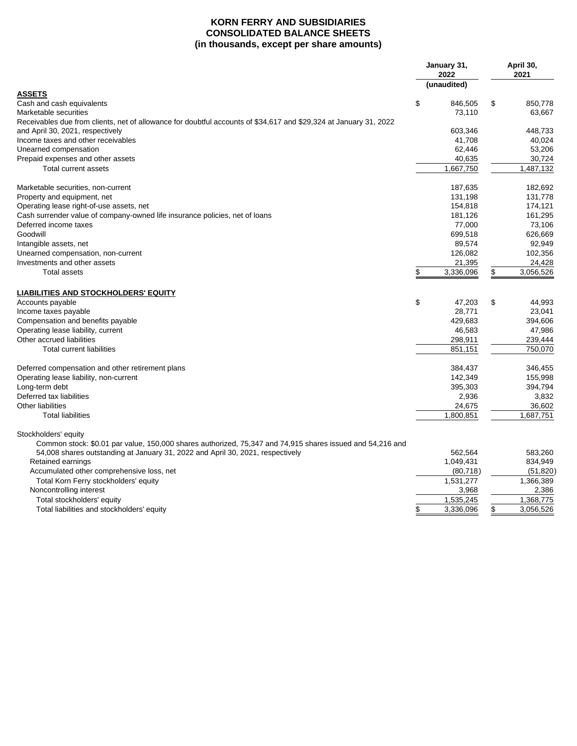### **KORN FERRY AND SUBSIDIARIES CONSOLIDATED BALANCE SHEETS (in thousands, except per share amounts)**

|                                                                                                                   |               | January 31,<br>2022 | April 30,<br>2021 |
|-------------------------------------------------------------------------------------------------------------------|---------------|---------------------|-------------------|
|                                                                                                                   |               | (unaudited)         |                   |
| ASSETS                                                                                                            |               |                     |                   |
| Cash and cash equivalents                                                                                         | \$            | 846,505             | \$<br>850,778     |
| Marketable securities                                                                                             |               | 73,110              | 63,667            |
| Receivables due from clients, net of allowance for doubtful accounts of \$34,617 and \$29,324 at January 31, 2022 |               |                     |                   |
| and April 30, 2021, respectively                                                                                  |               | 603,346             | 448,733           |
| Income taxes and other receivables                                                                                |               | 41,708              | 40,024            |
| Unearned compensation                                                                                             |               | 62,446              | 53,206            |
| Prepaid expenses and other assets                                                                                 |               | 40,635              | 30,724            |
| Total current assets                                                                                              |               | 1,667,750           | 1,487,132         |
| Marketable securities, non-current                                                                                |               | 187,635             | 182,692           |
| Property and equipment, net                                                                                       |               | 131,198             | 131,778           |
| Operating lease right-of-use assets, net                                                                          |               | 154,818             | 174,121           |
| Cash surrender value of company-owned life insurance policies, net of loans                                       |               | 181,126             | 161,295           |
| Deferred income taxes                                                                                             |               | 77,000              | 73,106            |
| Goodwill                                                                                                          |               | 699,518             | 626,669           |
| Intangible assets, net                                                                                            |               | 89,574              | 92,949            |
| Unearned compensation, non-current                                                                                |               | 126,082             | 102,356           |
| Investments and other assets                                                                                      |               | 21,395              | 24,428            |
| <b>Total assets</b>                                                                                               | \$            | 3,336,096           | \$<br>3,056,526   |
| <b>LIABILITIES AND STOCKHOLDERS' EQUITY</b>                                                                       |               |                     |                   |
| Accounts payable                                                                                                  | \$            | 47,203              | \$<br>44,993      |
| Income taxes payable                                                                                              |               | 28,771              | 23,041            |
| Compensation and benefits payable                                                                                 |               | 429,683             | 394,606           |
| Operating lease liability, current                                                                                |               | 46,583              | 47,986            |
| Other accrued liabilities                                                                                         |               | 298,911             | 239,444           |
| <b>Total current liabilities</b>                                                                                  |               | 851,151             | 750,070           |
|                                                                                                                   |               |                     |                   |
| Deferred compensation and other retirement plans                                                                  |               | 384,437             | 346,455           |
| Operating lease liability, non-current                                                                            |               | 142.349             | 155.998           |
| Long-term debt                                                                                                    |               | 395,303             | 394,794           |
| Deferred tax liabilities                                                                                          |               | 2,936               | 3,832             |
| Other liabilities                                                                                                 |               | 24,675              | 36,602            |
| <b>Total liabilities</b>                                                                                          |               | 1,800,851           | 1,687,751         |
| Stockholders' equity                                                                                              |               |                     |                   |
| Common stock: \$0.01 par value, 150,000 shares authorized, 75,347 and 74,915 shares issued and 54,216 and         |               |                     |                   |
| 54,008 shares outstanding at January 31, 2022 and April 30, 2021, respectively                                    |               | 562,564             | 583,260           |
| Retained earnings                                                                                                 |               | 1,049,431           | 834,949           |
| Accumulated other comprehensive loss, net                                                                         |               | (80, 718)           | (51, 820)         |
| Total Korn Ferry stockholders' equity                                                                             |               | 1,531,277           | 1,366,389         |
| Noncontrolling interest                                                                                           |               | 3,968               | 2,386             |
| Total stockholders' equity                                                                                        |               | 1,535,245           | 1,368,775         |
| Total liabilities and stockholders' equity                                                                        | $\frac{1}{2}$ | 3,336,096           | \$<br>3,056,526   |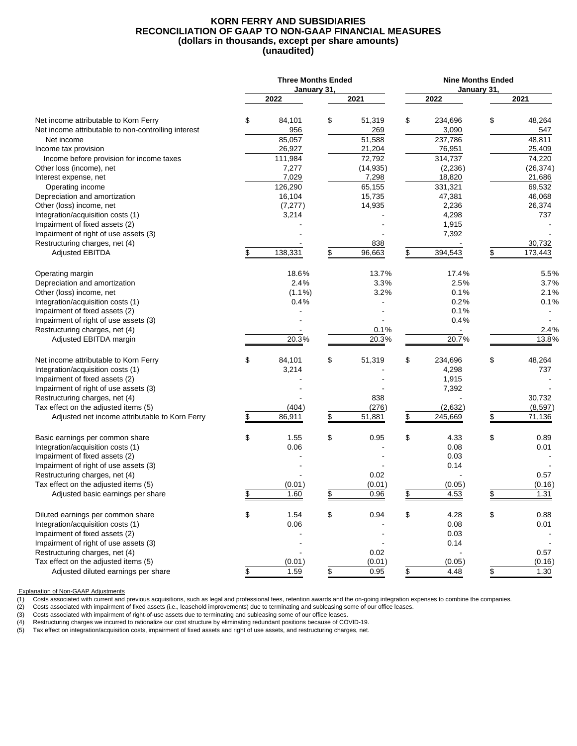### **KORN FERRY AND SUBSIDIARIES RECONCILIATION OF GAAP TO NON-GAAP FINANCIAL MEASURES (dollars in thousands, except per share amounts) (unaudited)**

|                                                                         | <b>Three Months Ended</b><br>January 31, |              |    | <b>Nine Months Ended</b> |             |           |
|-------------------------------------------------------------------------|------------------------------------------|--------------|----|--------------------------|-------------|-----------|
|                                                                         | 2022                                     | 2021         |    | 2022                     | January 31, | 2021      |
| Net income attributable to Korn Ferry                                   | \$<br>84,101                             | \$<br>51,319 | \$ | 234,696                  | \$          | 48,264    |
| Net income attributable to non-controlling interest                     | 956                                      | 269          |    | 3,090                    |             | 547       |
| Net income                                                              | 85,057                                   | 51,588       |    | 237,786                  |             | 48,811    |
| Income tax provision                                                    | 26,927                                   | 21,204       |    | 76,951                   |             | 25,409    |
| Income before provision for income taxes                                | 111,984                                  | 72,792       |    | 314,737                  |             | 74,220    |
| Other loss (income), net                                                | 7,277                                    | (14, 935)    |    | (2,236)                  |             | (26, 374) |
| Interest expense, net                                                   | 7,029                                    | 7,298        |    | 18,820                   |             | 21,686    |
| Operating income                                                        | 126,290                                  | 65,155       |    | 331,321                  |             | 69,532    |
| Depreciation and amortization                                           | 16,104                                   | 15,735       |    | 47,381                   |             | 46,068    |
| Other (loss) income, net                                                | (7, 277)                                 | 14,935       |    | 2,236                    |             | 26,374    |
| Integration/acquisition costs (1)                                       | 3,214                                    |              |    | 4,298                    |             | 737       |
| Impairment of fixed assets (2)<br>Impairment of right of use assets (3) |                                          |              |    | 1,915<br>7,392           |             |           |
| Restructuring charges, net (4)                                          |                                          | 838          |    |                          |             | 30,732    |
| <b>Adjusted EBITDA</b>                                                  | \$<br>138,331                            | \$<br>96,663 | \$ | 394,543                  | \$          | 173,443   |
|                                                                         |                                          |              |    |                          |             |           |
| Operating margin                                                        | 18.6%                                    | 13.7%        |    | 17.4%                    |             | 5.5%      |
| Depreciation and amortization                                           | 2.4%                                     | 3.3%         |    | 2.5%                     |             | 3.7%      |
| Other (loss) income, net                                                | $(1.1\%)$                                | 3.2%         |    | 0.1%                     |             | 2.1%      |
| Integration/acquisition costs (1)                                       | 0.4%                                     |              |    | 0.2%                     |             | 0.1%      |
| Impairment of fixed assets (2)                                          |                                          |              |    | 0.1%                     |             |           |
| Impairment of right of use assets (3)                                   |                                          |              |    | 0.4%                     |             |           |
| Restructuring charges, net (4)                                          |                                          | 0.1%         |    |                          |             | 2.4%      |
| Adjusted EBITDA margin                                                  | 20.3%                                    | 20.3%        |    | 20.7%                    |             | 13.8%     |
| Net income attributable to Korn Ferry                                   | \$<br>84,101                             | \$<br>51,319 | \$ | 234,696                  | \$          | 48,264    |
| Integration/acquisition costs (1)                                       | 3,214                                    |              |    | 4,298                    |             | 737       |
| Impairment of fixed assets (2)                                          |                                          |              |    | 1,915                    |             |           |
| Impairment of right of use assets (3)                                   |                                          |              |    | 7,392                    |             |           |
| Restructuring charges, net (4)                                          |                                          | 838          |    |                          |             | 30,732    |
| Tax effect on the adjusted items (5)                                    | (404)                                    | \$<br>(276)  |    | (2,632)                  |             | (8, 597)  |
| Adjusted net income attributable to Korn Ferry                          | \$<br>86,911                             | 51,881       | \$ | 245,669                  | \$          | 71,136    |
| Basic earnings per common share                                         | \$<br>1.55                               | \$<br>0.95   | \$ | 4.33                     | \$          | 0.89      |
| Integration/acquisition costs (1)                                       | 0.06                                     |              |    | 0.08                     |             | 0.01      |
| Impairment of fixed assets (2)                                          |                                          |              |    | 0.03                     |             |           |
| Impairment of right of use assets (3)                                   |                                          |              |    | 0.14                     |             |           |
| Restructuring charges, net (4)                                          |                                          | 0.02         |    |                          |             | 0.57      |
| Tax effect on the adjusted items (5)                                    | (0.01)                                   | (0.01)       |    | (0.05)                   |             | (0.16)    |
| Adjusted basic earnings per share                                       | \$<br>1.60                               | \$<br>0.96   | \$ | 4.53                     | \$          | 1.31      |
| Diluted earnings per common share                                       | \$<br>1.54                               | \$<br>0.94   | \$ | 4.28                     | \$          | 0.88      |
| Integration/acquisition costs (1)                                       | 0.06                                     |              |    | 0.08                     |             | 0.01      |
| Impairment of fixed assets (2)                                          |                                          |              |    | 0.03                     |             |           |
| Impairment of right of use assets (3)                                   |                                          |              |    | 0.14                     |             |           |
| Restructuring charges, net (4)                                          |                                          | 0.02         |    |                          |             | 0.57      |
| Tax effect on the adjusted items (5)                                    | (0.01)                                   | (0.01)       |    | (0.05)                   |             | (0.16)    |
| Adjusted diluted earnings per share                                     | \$<br>1.59                               | \$<br>0.95   | \$ | 4.48                     | \$          | 1.30      |

Explanation of Non-GAAP Adjustments

(1) Costs associated with current and previous acquisitions, such as legal and professional fees, retention awards and the on-going integration expenses to combine the companies.<br>(2) Costs associated with impairment of fix

(2) Costs associated with impairment of fixed assets (i.e., leasehold improvements) due to terminating and subleasing some of our office leases.<br>(3) Costs associated with impairment of right-of-use assets due to terminatin

(3) Costs associated with impairment of right-of-use assets due to terminating and subleasing some of our office leases.<br>
(4) Restructuring charges we incurred to rationalize our cost structure by eliminating redundant pos Restructuring charges we incurred to rationalize our cost structure by eliminating redundant positions because of COVID-19.

Tax effect on integration/acquisition costs, impairment of fixed assets and right of use assets, and restructuring charges, net.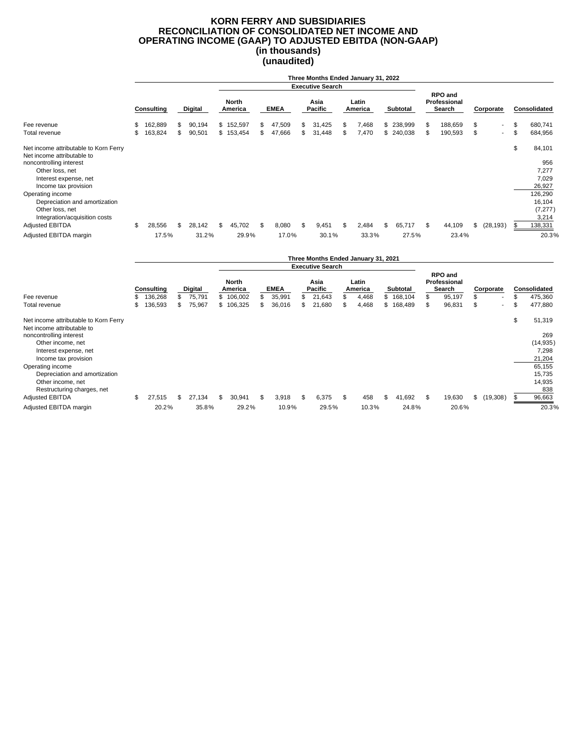### **KORN FERRY AND SUBSIDIARIES RECONCILIATION OF CONSOLIDATED NET INCOME AND OPERATING INCOME (GAAP) TO ADJUSTED EBITDA (NON-GAAP) (in thousands) (unaudited)**

|                                                                     | Three Months Ended January 31, 2022 |            |    |                |     |                  |    |             |    |                         |     |                  |    |           |                                          |    |                          |                     |
|---------------------------------------------------------------------|-------------------------------------|------------|----|----------------|-----|------------------|----|-------------|----|-------------------------|-----|------------------|----|-----------|------------------------------------------|----|--------------------------|---------------------|
|                                                                     |                                     |            |    |                |     |                  |    |             |    | <b>Executive Search</b> |     |                  |    |           |                                          |    |                          |                     |
|                                                                     |                                     | Consulting |    | <b>Digital</b> |     | North<br>America |    | <b>EMEA</b> |    | Asia<br><b>Pacific</b>  |     | Latin<br>America |    | Subtotal  | <b>RPO and</b><br>Professional<br>Search |    | Corporate                | <b>Consolidated</b> |
| Fee revenue                                                         | \$                                  | 162,889    | \$ | 90,194         |     | \$152,597        | \$ | 47,509      | \$ | 31,425                  | \$. | 7,468            |    | \$238,999 | \$<br>188,659                            | \$ | $\sim$                   | \$<br>680,741       |
| Total revenue                                                       | \$                                  | 163,824    | \$ | 90,501         |     | \$153,454        | \$ | 47,666      | \$ | 31,448                  | \$  | 7,470            |    | \$240,038 | \$<br>190,593                            | \$ | $\overline{\phantom{a}}$ | \$<br>684,956       |
| Net income attributable to Korn Ferry<br>Net income attributable to |                                     |            |    |                |     |                  |    |             |    |                         |     |                  |    |           |                                          |    |                          | \$<br>84,101        |
| noncontrolling interest                                             |                                     |            |    |                |     |                  |    |             |    |                         |     |                  |    |           |                                          |    |                          | 956                 |
| Other loss, net                                                     |                                     |            |    |                |     |                  |    |             |    |                         |     |                  |    |           |                                          |    |                          | 7,277               |
| Interest expense, net                                               |                                     |            |    |                |     |                  |    |             |    |                         |     |                  |    |           |                                          |    |                          | 7,029               |
| Income tax provision                                                |                                     |            |    |                |     |                  |    |             |    |                         |     |                  |    |           |                                          |    |                          | 26,927              |
| Operating income                                                    |                                     |            |    |                |     |                  |    |             |    |                         |     |                  |    |           |                                          |    |                          | 126,290             |
| Depreciation and amortization                                       |                                     |            |    |                |     |                  |    |             |    |                         |     |                  |    |           |                                          |    |                          | 16,104              |
| Other loss, net<br>Integration/acquisition costs                    |                                     |            |    |                |     |                  |    |             |    |                         |     |                  |    |           |                                          |    |                          | (7, 277)<br>3,214   |
| <b>Adjusted EBITDA</b>                                              | \$                                  | 28,556     | \$ | 28,142         | \$. | 45,702           | \$ | 8,080       | \$ | 9,451                   | \$  | 2,484            | \$ | 65,717    | \$<br>44,109                             | \$ | (28, 193)                | \$<br>138,331       |
| Adjusted EBITDA margin                                              |                                     | 17.5%      |    | 31.2%          |     | 29.9%            |    | 17.0%       |    | 30.1%                   |     | 33.3%            |    | 27.5%     | 23.4%                                    |    |                          | 20.3%               |

|                                                                     | Three Months Ended January 31, 2021 |                       |    |                          |                               |           |    |                |     |                                  |     |                           |     |                       |    |                                             |                                             |     |                                |
|---------------------------------------------------------------------|-------------------------------------|-----------------------|----|--------------------------|-------------------------------|-----------|----|----------------|-----|----------------------------------|-----|---------------------------|-----|-----------------------|----|---------------------------------------------|---------------------------------------------|-----|--------------------------------|
|                                                                     |                                     |                       |    |                          |                               |           |    |                |     | <b>Executive Search</b>          |     |                           |     |                       |    |                                             |                                             |     |                                |
| Fee revenue                                                         |                                     | Consulting<br>136,268 |    | <b>Digital</b><br>75,791 | North<br>America<br>\$106,002 |           |    | EMEA<br>35,991 | \$. | Asia<br><b>Pacific</b><br>21,643 |     | Latin<br>America<br>4,468 |     | Subtotal<br>\$168,104 |    | RPO and<br>Professional<br>Search<br>95,197 | \$<br>Corporate<br>$\overline{\phantom{a}}$ |     | <b>Consolidated</b><br>475,360 |
| Total revenue                                                       |                                     | 136,593               | \$ | 75,967                   |                               | \$106,325 | \$ | 36,016         | \$  | 21,680                           |     | 4,468                     |     | \$168,489             | S  | 96,831                                      | \$<br>$\overline{\phantom{a}}$              | S   | 477,880                        |
| Net income attributable to Korn Ferry<br>Net income attributable to |                                     |                       |    |                          |                               |           |    |                |     |                                  |     |                           |     |                       |    |                                             |                                             | \$  | 51,319                         |
| noncontrolling interest                                             |                                     |                       |    |                          |                               |           |    |                |     |                                  |     |                           |     |                       |    |                                             |                                             |     | 269                            |
| Other income, net<br>Interest expense, net                          |                                     |                       |    |                          |                               |           |    |                |     |                                  |     |                           |     |                       |    |                                             |                                             |     | (14, 935)<br>7,298             |
| Income tax provision                                                |                                     |                       |    |                          |                               |           |    |                |     |                                  |     |                           |     |                       |    |                                             |                                             |     | 21,204                         |
| Operating income                                                    |                                     |                       |    |                          |                               |           |    |                |     |                                  |     |                           |     |                       |    |                                             |                                             |     | 65,155                         |
| Depreciation and amortization                                       |                                     |                       |    |                          |                               |           |    |                |     |                                  |     |                           |     |                       |    |                                             |                                             |     | 15,735                         |
| Other income, net<br>Restructuring charges, net                     |                                     |                       |    |                          |                               |           |    |                |     |                                  |     |                           |     |                       |    |                                             |                                             |     | 14,935<br>838                  |
| Adjusted EBITDA                                                     | \$.                                 | 27,515                | \$ | 27,134                   | \$                            | 30,941    | \$ | 3,918          | \$  | 6,375                            | \$. | 458                       | \$. | 41,692                | \$ | 19,630                                      | \$<br>(19,308)                              | \$. | 96,663                         |
| Adjusted EBITDA margin                                              |                                     | 20.2%                 |    | 35.8%                    |                               | 29.2%     |    | 10.9%          |     | 29.5%                            |     | 10.3%                     |     | 24.8%                 |    | 20.6%                                       |                                             |     | 20.3%                          |